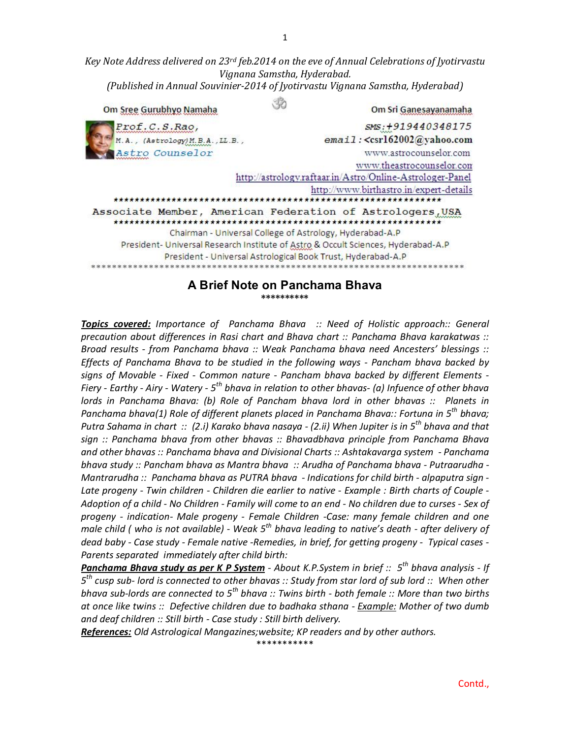*Key Note Address delivered on 23rd feb.2014 on the eve of Annual Celebrations of Jyotirvastu Vignana Samstha, Hyderabad. (Published in Annual Souvinier-2014 of Jyotirvastu Vignana Samstha, Hyderabad)*

| Om Sree Gurubhyo Namaha          | Om Sri Ganesayanamaha                                                             |
|----------------------------------|-----------------------------------------------------------------------------------|
| Prof.C.S.Rao,                    | SMS: +919440348175                                                                |
| M.A., (Astrology) M.B.A., LL.B., | email: <csrl62002@yahoo.com< td=""></csrl62002@yahoo.com<>                        |
| Astro Counselor                  | www.astrocounselor.com                                                            |
|                                  | www.theastrocounselor.com                                                         |
|                                  | http://astrology.raftaar.in/Astro/Online-Astrologer-Panel                         |
|                                  | http://www.birthastro.in/expert-details                                           |
|                                  |                                                                                   |
|                                  | Associate Member, American Federation of Astrologers, USA                         |
|                                  | Chairman - Universal College of Astrology, Hyderabad-A.P                          |
|                                  | President- Universal Research Institute of Astro & Occult Sciences, Hyderabad-A.P |
|                                  | President - Universal Astrological Book Trust, Hyderabad-A.P                      |
|                                  |                                                                                   |

#### **A Brief Note on Panchama Bhava \*\*\*\*\*\*\*\*\*\***

*Topics covered: Importance of Panchama Bhava :: Need of Holistic approach:: General precaution about differences in Rasi chart and Bhava chart :: Panchama Bhava karakatwas :: Broad results - from Panchama bhava :: Weak Panchama bhava need Ancesters' blessings :: Effects of Panchama Bhava to be studied in the following ways - Pancham bhava backed by signs of Movable - Fixed - Common nature - Pancham bhava backed by different Elements - Fiery - Earthy - Airy - Watery - 5 th bhava in relation to other bhavas- (a) Infuence of other bhava lords in Panchama Bhava: (b) Role of Pancham bhava lord in other bhavas :: Planets in Panchama bhava(1) Role of different planets placed in Panchama Bhava:: Fortuna in 5<sup>th</sup> bhava; Putra Sahama in chart :: (2.i) Karako bhava nasaya - (2.ii) When Jupiter is in 5th bhava and that sign :: Panchama bhava from other bhavas :: Bhavadbhava principle from Panchama Bhava and other bhavas :: Panchama bhava and Divisional Charts :: Ashtakavarga system - Panchama bhava study :: Pancham bhava as Mantra bhava :: Arudha of Panchama bhava - Putraarudha - Mantrarudha :: Panchama bhava as PUTRA bhava - Indications for child birth - alpaputra sign - Late progeny - Twin children - Children die earlier to native - Example : Birth charts of Couple - Adoption of a child - No Children - Family will come to an end - No children due to curses - Sex of progeny - indication- Male progeny - Female Children -Case: many female children and one male child ( who is not available) - Weak 5th bhava leading to native's death - after delivery of dead baby - Case study - Female native -Remedies, in brief, for getting progeny - Typical cases - Parents separated immediately after child birth:* 

*Panchama Bhava study as per K P System - About K.P.System in brief :: 5th bhava analysis - If 5 th cusp sub- lord is connected to other bhavas :: Study from star lord of sub lord :: When other bhava sub-lords are connected to 5th bhava :: Twins birth - both female :: More than two births at once like twins :: Defective children due to badhaka sthana - Example: Mother of two dumb and deaf children :: Still birth - Case study : Still birth delivery.*

*References: Old Astrological Mangazines;website; KP readers and by other authors.*

\*\*\*\*\*\*\*\*\*\*\*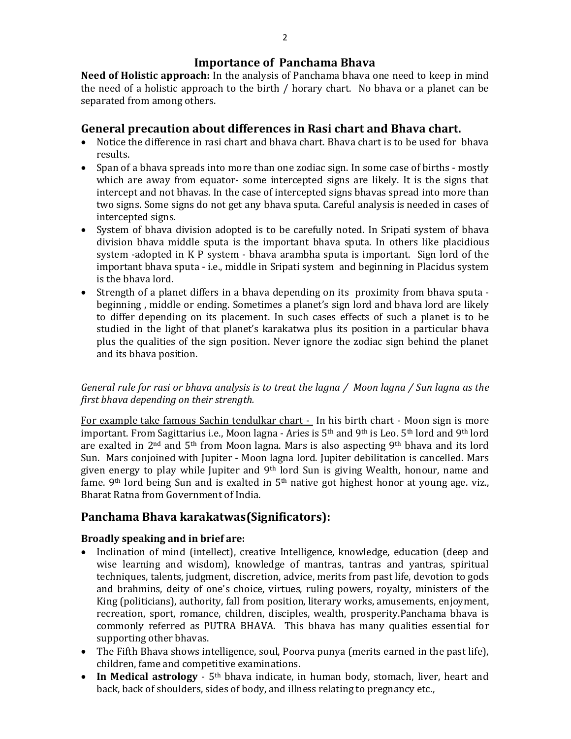### **Importance of Panchama Bhava**

**Need of Holistic approach:** In the analysis of Panchama bhava one need to keep in mind the need of a holistic approach to the birth / horary chart. No bhava or a planet can be separated from among others.

# **General precaution about differences in Rasi chart and Bhava chart.**

- Notice the difference in rasi chart and bhava chart. Bhava chart is to be used for bhava results.
- Span of a bhava spreads into more than one zodiac sign. In some case of births mostly which are away from equator- some intercepted signs are likely. It is the signs that intercept and not bhavas. In the case of intercepted signs bhavas spread into more than two signs. Some signs do not get any bhava sputa. Careful analysis is needed in cases of intercepted signs.
- System of bhava division adopted is to be carefully noted. In Sripati system of bhava division bhava middle sputa is the important bhava sputa. In others like placidious system -adopted in K P system - bhava arambha sputa is important. Sign lord of the important bhava sputa - i.e., middle in Sripati system and beginning in Placidus system is the bhava lord.
- Strength of a planet differs in a bhava depending on its proximity from bhava sputa beginning , middle or ending. Sometimes a planet's sign lord and bhava lord are likely to differ depending on its placement. In such cases effects of such a planet is to be studied in the light of that planet's karakatwa plus its position in a particular bhava plus the qualities of the sign position. Never ignore the zodiac sign behind the planet and its bhava position.

### *General rule for rasi or bhava analysis is to treat the lagna / Moon lagna / Sun lagna as the first bhava depending on their strength.*

For example take famous Sachin tendulkar chart - In his birth chart - Moon sign is more important. From Sagittarius i.e., Moon lagna - Aries is 5<sup>th</sup> and 9<sup>th</sup> is Leo. 5<sup>th</sup> lord and 9<sup>th</sup> lord are exalted in 2nd and 5th from Moon lagna. Mars is also aspecting 9th bhava and its lord Sun. Mars conjoined with Jupiter - Moon lagna lord. Jupiter debilitation is cancelled. Mars given energy to play while Jupiter and 9<sup>th</sup> lord Sun is giving Wealth, honour, name and fame. 9<sup>th</sup> lord being Sun and is exalted in 5<sup>th</sup> native got highest honor at young age. viz., Bharat Ratna from Government of India.

# **Panchama Bhava karakatwas(Significators):**

### **Broadly speaking and in brief are:**

- Inclination of mind (intellect), creative Intelligence, knowledge, education (deep and wise learning and wisdom), knowledge of mantras, tantras and yantras, spiritual techniques, talents, judgment, discretion, advice, merits from past life, devotion to gods and brahmins, deity of one's choice, virtues, ruling powers, royalty, ministers of the King (politicians), authority, fall from position, literary works, amusements, enjoyment, recreation, sport, romance, children, disciples, wealth, prosperity.Panchama bhava is commonly referred as PUTRA BHAVA. This bhava has many qualities essential for supporting other bhavas.
- The Fifth Bhava shows intelligence, soul, Poorva punya (merits earned in the past life), children, fame and competitive examinations.
- In Medical astrology 5<sup>th</sup> bhava indicate, in human body, stomach, liver, heart and back, back of shoulders, sides of body, and illness relating to pregnancy etc.,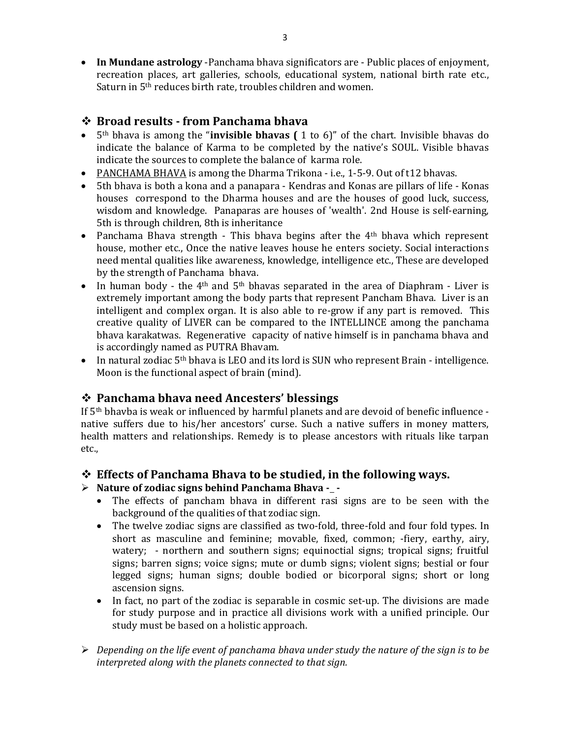**In Mundane astrology** -Panchama bhava significators are - Public places of enjoyment, recreation places, art galleries, schools, educational system, national birth rate etc., Saturn in 5th reduces birth rate, troubles children and women.

# **Broad results - from Panchama bhava**

- 5th bhava is among the "**invisible bhavas (** 1 to 6)" of the chart. Invisible bhavas do indicate the balance of Karma to be completed by the native's SOUL. Visible bhavas indicate the sources to complete the balance of karma role.
- PANCHAMA BHAVA is among the Dharma Trikona i.e., 1-5-9. Out of t12 bhavas.
- 5th bhava is both a kona and a panapara Kendras and Konas are pillars of life Konas houses correspond to the Dharma houses and are the houses of good luck, success, wisdom and knowledge. Panaparas are houses of 'wealth'. 2nd House is self-earning, 5th is through children, 8th is inheritance
- Panchama Bhava strength This bhava begins after the  $4<sup>th</sup>$  bhava which represent house, mother etc., Once the native leaves house he enters society. Social interactions need mental qualities like awareness, knowledge, intelligence etc., These are developed by the strength of Panchama bhava.
- In human body the 4<sup>th</sup> and 5<sup>th</sup> bhavas separated in the area of Diaphram Liver is extremely important among the body parts that represent Pancham Bhava. Liver is an intelligent and complex organ. It is also able to re-grow if any part is removed. This creative quality of LIVER can be compared to the INTELLINCE among the panchama bhava karakatwas. Regenerative capacity of native himself is in panchama bhava and is accordingly named as PUTRA Bhavam.
- In natural zodiac 5<sup>th</sup> bhava is LEO and its lord is SUN who represent Brain intelligence. Moon is the functional aspect of brain (mind).

# **Panchama bhava need Ancesters' blessings**

If 5th bhavba is weak or influenced by harmful planets and are devoid of benefic influence native suffers due to his/her ancestors' curse. Such a native suffers in money matters, health matters and relationships. Remedy is to please ancestors with rituals like tarpan etc.,

### **Effects of Panchama Bhava to be studied, in the following ways.**

- > Nature of zodiac signs behind Panchama Bhava -\_-
	- The effects of pancham bhava in different rasi signs are to be seen with the background of the qualities of that zodiac sign.
	- The twelve zodiac signs are classified as two-fold, three-fold and four fold types. In short as masculine and feminine; movable, fixed, common; -fiery, earthy, airy, watery; - northern and southern signs; equinoctial signs; tropical signs; fruitful signs; barren signs; voice signs; mute or dumb signs; violent signs; bestial or four legged signs; human signs; double bodied or bicorporal signs; short or long ascension signs.
	- In fact, no part of the zodiac is separable in cosmic set-up. The divisions are made for study purpose and in practice all divisions work with a unified principle. Our study must be based on a holistic approach.
- *Depending on the life event of panchama bhava under study the nature of the sign is to be interpreted along with the planets connected to that sign.*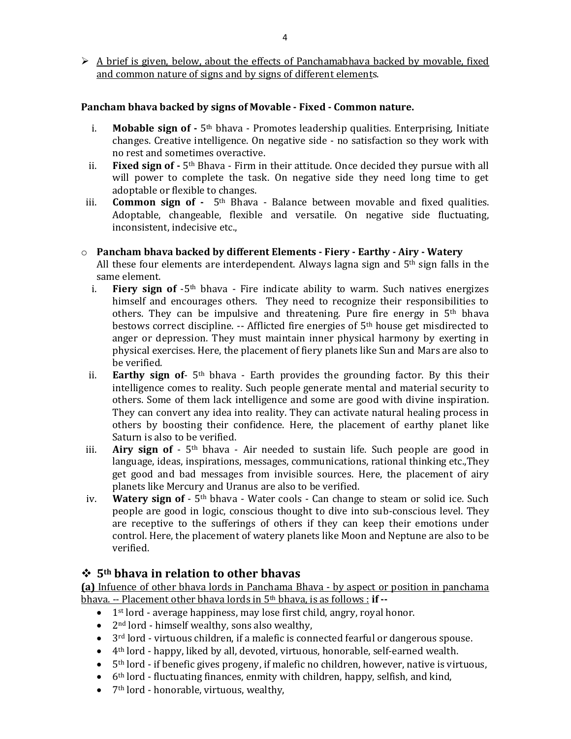$\triangleright$  A brief is given, below, about the effects of Panchamabhava backed by movable, fixed and common nature of signs and by signs of different elements.

#### **Pancham bhava backed by signs of Movable - Fixed - Common nature.**

- i. **Mobable sign of -** 5<sup>th</sup> bhava Promotes leadership qualities. Enterprising. Initiate changes. Creative intelligence. On negative side - no satisfaction so they work with no rest and sometimes overactive.
- ii. **Fixed sign of -** 5th Bhava Firm in their attitude. Once decided they pursue with all will power to complete the task. On negative side they need long time to get adoptable or flexible to changes.
- iii. **Common sign of -** 5th Bhava Balance between movable and fixed qualities. Adoptable, changeable, flexible and versatile. On negative side fluctuating, inconsistent, indecisive etc.,

#### o **Pancham bhava backed by different Elements - Fiery - Earthy - Airy - Watery**

All these four elements are interdependent. Always lagna sign and  $5<sup>th</sup>$  sign falls in the same element.

- i. **Fiery sign of** -5th bhava Fire indicate ability to warm. Such natives energizes himself and encourages others. They need to recognize their responsibilities to others. They can be impulsive and threatening. Pure fire energy in 5th bhava bestows correct discipline. -- Afflicted fire energies of 5th house get misdirected to anger or depression. They must maintain inner physical harmony by exerting in physical exercises. Here, the placement of fiery planets like Sun and Mars are also to be verified.
- ii. **Earthy sign of** 5th bhava Earth provides the grounding factor. By this their intelligence comes to reality. Such people generate mental and material security to others. Some of them lack intelligence and some are good with divine inspiration. They can convert any idea into reality. They can activate natural healing process in others by boosting their confidence. Here, the placement of earthy planet like Saturn is also to be verified.
- iii. **Airy sign of**  5th bhava Air needed to sustain life. Such people are good in language, ideas, inspirations, messages, communications, rational thinking etc.,They get good and bad messages from invisible sources. Here, the placement of airy planets like Mercury and Uranus are also to be verified.
- iv. **Watery sign of**  5th bhava Water cools Can change to steam or solid ice. Such people are good in logic, conscious thought to dive into sub-conscious level. They are receptive to the sufferings of others if they can keep their emotions under control. Here, the placement of watery planets like Moon and Neptune are also to be verified.

### **5th bhava in relation to other bhavas**

**(a)** Infuence of other bhava lords in Panchama Bhava - by aspect or position in panchama bhava. -- Placement other bhava lords in 5th bhava, is as follows : **if --**

- 1<sup>st</sup> lord average happiness, may lose first child, angry, royal honor.
- $\bullet$  2<sup>nd</sup> lord himself wealthy, sons also wealthy,
- 3<sup>rd</sup> lord virtuous children, if a malefic is connected fearful or dangerous spouse.
- $\bullet$  4<sup>th</sup> lord happy, liked by all, devoted, virtuous, honorable, self-earned wealth.
- $\bullet$  5<sup>th</sup> lord if benefic gives progeny, if malefic no children, however, native is virtuous,
- $\bullet$  6<sup>th</sup> lord fluctuating finances, enmity with children, happy, selfish, and kind,
- 7<sup>th</sup> lord honorable, virtuous, wealthy,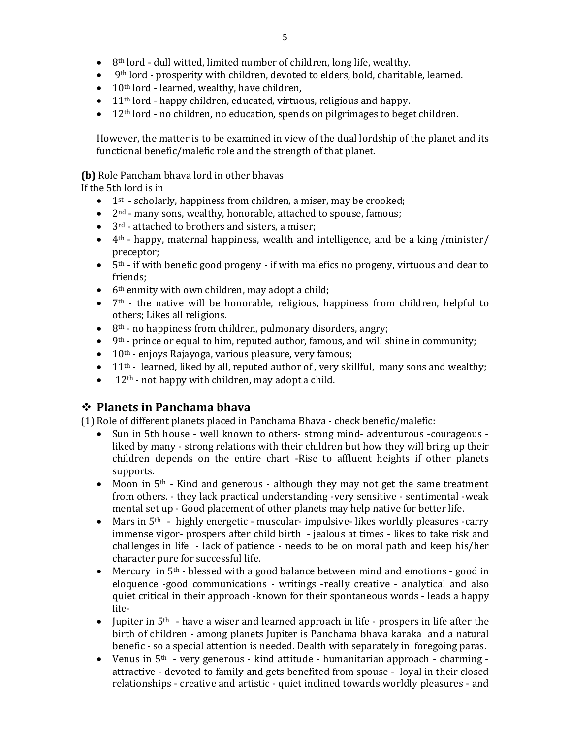- $\bullet$  8<sup>th</sup> lord dull witted, limited number of children, long life, wealthy.
- $\bullet$  9<sup>th</sup> lord prosperity with children, devoted to elders, bold, charitable, learned.
- $\bullet$  10<sup>th</sup> lord learned, wealthy, have children,
- $\bullet$  11<sup>th</sup> lord happy children, educated, virtuous, religious and happy.
- $\bullet$  12<sup>th</sup> lord no children, no education, spends on pilgrimages to beget children.

However, the matter is to be examined in view of the dual lordship of the planet and its functional benefic/malefic role and the strength of that planet.

#### **(b)** Role Pancham bhava lord in other bhavas

If the 5th lord is in

- $\bullet$  1<sup>st</sup> scholarly, happiness from children, a miser, may be crooked;
- $\bullet$  2<sup>nd</sup> many sons, wealthy, honorable, attached to spouse, famous;
- $\bullet$  3<sup>rd</sup> attached to brothers and sisters, a miser;
- $\bullet$  4<sup>th</sup> happy, maternal happiness, wealth and intelligence, and be a king /minister/ preceptor;
- $\bullet$  5<sup>th</sup> if with benefic good progeny if with malefics no progeny, virtuous and dear to friends;
- $\bullet$  6<sup>th</sup> enmity with own children, may adopt a child;
- $\bullet$  7<sup>th</sup> the native will be honorable, religious, happiness from children, helpful to others; Likes all religions.
- $\bullet$  8<sup>th</sup> no happiness from children, pulmonary disorders, angry;
- $\bullet$  9<sup>th</sup> prince or equal to him, reputed author, famous, and will shine in community;
- $\bullet$  10<sup>th</sup> enjoys Rajayoga, various pleasure, very famous;
- $\bullet$  11<sup>th</sup> learned, liked by all, reputed author of, very skillful, many sons and wealthy;
- $\bullet$  . 12<sup>th</sup> not happy with children, may adopt a child.

# **Planets in Panchama bhava**

(1) Role of different planets placed in Panchama Bhava - check benefic/malefic:

- Sun in 5th house well known to others- strong mind- adventurous -courageous liked by many - strong relations with their children but how they will bring up their children depends on the entire chart -Rise to affluent heights if other planets supports.
- Moon in  $5<sup>th</sup>$  Kind and generous although they may not get the same treatment from others. - they lack practical understanding -very sensitive - sentimental -weak mental set up - Good placement of other planets may help native for better life.
- Mars in  $5<sup>th</sup>$  highly energetic muscular- impulsive-likes worldly pleasures -carry immense vigor- prospers after child birth - jealous at times - likes to take risk and challenges in life - lack of patience - needs to be on moral path and keep his/her character pure for successful life.
- Mercury in  $5<sup>th</sup>$  blessed with a good balance between mind and emotions good in eloquence -good communications - writings -really creative - analytical and also quiet critical in their approach -known for their spontaneous words - leads a happy life-
- Jupiter in  $5<sup>th</sup>$  have a wiser and learned approach in life prospers in life after the birth of children - among planets Jupiter is Panchama bhava karaka and a natural benefic - so a special attention is needed. Dealth with separately in foregoing paras.
- Venus in 5<sup>th</sup> very generous kind attitude humanitarian approach charming attractive - devoted to family and gets benefited from spouse - loyal in their closed relationships - creative and artistic - quiet inclined towards worldly pleasures - and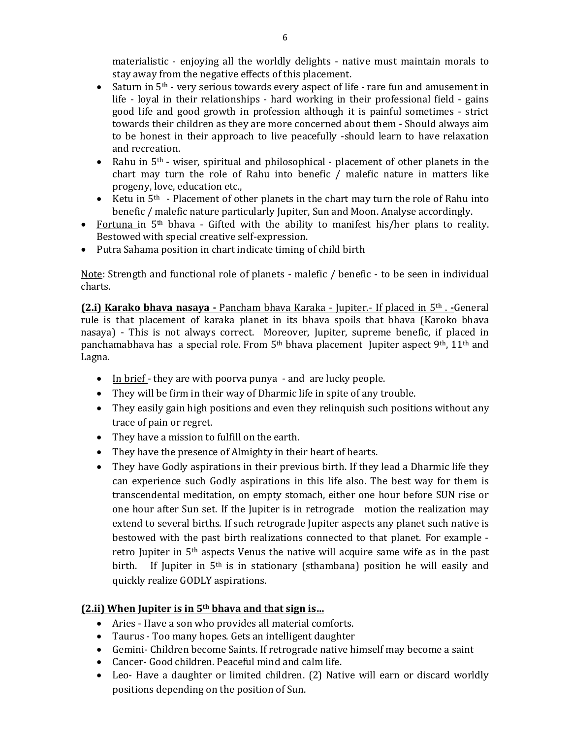materialistic - enjoying all the worldly delights - native must maintain morals to stay away from the negative effects of this placement.

- $\bullet$  Saturn in 5<sup>th</sup> very serious towards every aspect of life rare fun and amusement in life - loyal in their relationships - hard working in their professional field - gains good life and good growth in profession although it is painful sometimes - strict towards their children as they are more concerned about them - Should always aim to be honest in their approach to live peacefully -should learn to have relaxation and recreation.
- Rahu in  $5<sup>th</sup>$  wiser, spiritual and philosophical placement of other planets in the chart may turn the role of Rahu into benefic / malefic nature in matters like progeny, love, education etc.,
- Exect in 5<sup>th</sup> Placement of other planets in the chart may turn the role of Rahu into benefic / malefic nature particularly Jupiter, Sun and Moon. Analyse accordingly.
- Fortuna in 5th bhava Gifted with the ability to manifest his/her plans to reality. Bestowed with special creative self-expression.
- Putra Sahama position in chart indicate timing of child birth

Note: Strength and functional role of planets - malefic / benefic - to be seen in individual charts.

**(2.i) Karako bhava nasaya -** Pancham bhava Karaka - Jupiter.- If placed in 5th . **-**General rule is that placement of karaka planet in its bhava spoils that bhava (Karoko bhava nasaya) - This is not always correct. Moreover, Jupiter, supreme benefic, if placed in panchamabhava has a special role. From 5<sup>th</sup> bhava placement Jupiter aspect 9<sup>th</sup>, 11<sup>th</sup> and Lagna.

- $\bullet$  In brief they are with poorva punya and are lucky people.
- They will be firm in their way of Dharmic life in spite of any trouble.
- They easily gain high positions and even they relinquish such positions without any trace of pain or regret.
- They have a mission to fulfill on the earth.
- They have the presence of Almighty in their heart of hearts.
- They have Godly aspirations in their previous birth. If they lead a Dharmic life they can experience such Godly aspirations in this life also. The best way for them is transcendental meditation, on empty stomach, either one hour before SUN rise or one hour after Sun set. If the Jupiter is in retrograde motion the realization may extend to several births. If such retrograde Jupiter aspects any planet such native is bestowed with the past birth realizations connected to that planet. For example retro Jupiter in 5th aspects Venus the native will acquire same wife as in the past birth. If Jupiter in 5<sup>th</sup> is in stationary (sthambana) position he will easily and quickly realize GODLY aspirations.

### **(2.ii) When Jupiter is in 5th bhava and that sign is…**

- Aries Have a son who provides all material comforts.
- Taurus Too many hopes. Gets an intelligent daughter
- Gemini- Children become Saints. If retrograde native himself may become a saint
- Cancer- Good children. Peaceful mind and calm life.
- Leo- Have a daughter or limited children. (2) Native will earn or discard worldly positions depending on the position of Sun.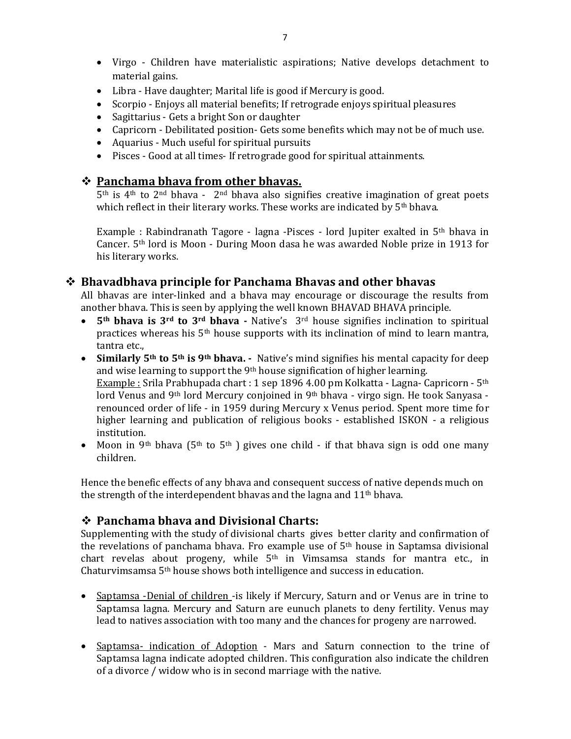- Virgo Children have materialistic aspirations; Native develops detachment to material gains.
- Libra Have daughter; Marital life is good if Mercury is good.
- Scorpio Enjoys all material benefits; If retrograde enjoys spiritual pleasures
- Sagittarius Gets a bright Son or daughter
- Capricorn Debilitated position- Gets some benefits which may not be of much use.
- Aquarius Much useful for spiritual pursuits
- Pisces Good at all times- If retrograde good for spiritual attainments.

### **Panchama bhava from other bhavas.**

 $5<sup>th</sup>$  is  $4<sup>th</sup>$  to  $2<sup>nd</sup>$  bhava -  $2<sup>nd</sup>$  bhava also signifies creative imagination of great poets which reflect in their literary works. These works are indicated by 5<sup>th</sup> bhava.

Example : Rabindranath Tagore - lagna -Pisces - lord Jupiter exalted in  $5<sup>th</sup>$  bhava in Cancer. 5th lord is Moon - During Moon dasa he was awarded Noble prize in 1913 for his literary works.

### **Bhavadbhava principle for Panchama Bhavas and other bhavas**

All bhavas are inter-linked and a bhava may encourage or discourage the results from another bhava. This is seen by applying the well known BHAVAD BHAVA principle.

- **5th bhava is 3rd to 3rd bhava -** Native's 3rd house signifies inclination to spiritual practices whereas his 5th house supports with its inclination of mind to learn mantra, tantra etc.,
- **Similarly 5th to 5th is 9th bhava.** Native's mind signifies his mental capacity for deep and wise learning to support the 9<sup>th</sup> house signification of higher learning. Example : Srila Prabhupada chart : 1 sep 1896 4.00 pm Kolkatta - Lagna- Capricorn - 5<sup>th</sup> lord Venus and 9<sup>th</sup> lord Mercury conjoined in 9<sup>th</sup> bhava - virgo sign. He took Sanyasa renounced order of life - in 1959 during Mercury x Venus period. Spent more time for higher learning and publication of religious books - established ISKON - a religious institution.
- Moon in 9<sup>th</sup> bhava (5<sup>th</sup> to 5<sup>th</sup>) gives one child if that bhava sign is odd one many children.

Hence the benefic effects of any bhava and consequent success of native depends much on the strength of the interdependent bhavas and the lagna and  $11<sup>th</sup>$  bhava.

### **Panchama bhava and Divisional Charts:**

Supplementing with the study of divisional charts gives better clarity and confirmation of the revelations of panchama bhava. Fro example use of  $5<sup>th</sup>$  house in Saptamsa divisional chart revelas about progeny, while 5th in Vimsamsa stands for mantra etc., in Chaturvimsamsa 5th house shows both intelligence and success in education.

- Saptamsa -Denial of children -is likely if Mercury, Saturn and or Venus are in trine to Saptamsa lagna. Mercury and Saturn are eunuch planets to deny fertility. Venus may lead to natives association with too many and the chances for progeny are narrowed.
- Saptamsa- indication of Adoption Mars and Saturn connection to the trine of Saptamsa lagna indicate adopted children. This configuration also indicate the children of a divorce / widow who is in second marriage with the native.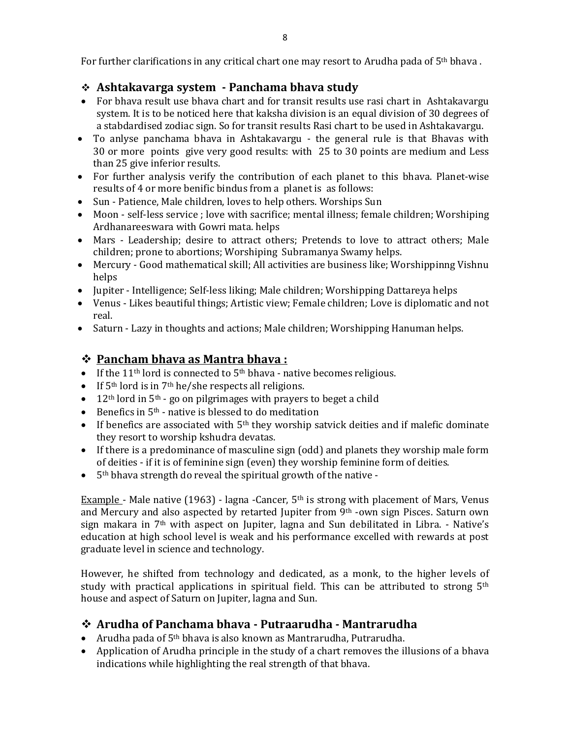For further clarifications in any critical chart one may resort to Arudha pada of 5<sup>th</sup> bhava.

# **Ashtakavarga system - Panchama bhava study**

- For bhava result use bhava chart and for transit results use rasi chart in Ashtakavargu system. It is to be noticed here that kaksha division is an equal division of 30 degrees of a stabdardised zodiac sign. So for transit results Rasi chart to be used in Ashtakavargu.
- To anlyse panchama bhava in Ashtakavargu the general rule is that Bhavas with 30 or more points give very good results: with 25 to 30 points are medium and Less than 25 give inferior results.
- For further analysis verify the contribution of each planet to this bhava. Planet-wise results of 4 or more benific bindus from a planet is as follows:
- Sun Patience, Male children, loves to help others. Worships Sun
- Moon self-less service ; love with sacrifice; mental illness; female children; Worshiping Ardhanareeswara with Gowri mata. helps
- Mars Leadership; desire to attract others; Pretends to love to attract others; Male children; prone to abortions; Worshiping Subramanya Swamy helps.
- Mercury Good mathematical skill; All activities are business like; Worshippinng Vishnu helps
- Jupiter Intelligence; Self-less liking; Male children; Worshipping Dattareya helps
- Venus Likes beautiful things; Artistic view; Female children; Love is diplomatic and not real.
- Saturn Lazy in thoughts and actions; Male children; Worshipping Hanuman helps.

# **Pancham bhava as Mantra bhava :**

- If the 11<sup>th</sup> lord is connected to  $5<sup>th</sup>$  bhava native becomes religious.
- If  $5<sup>th</sup>$  lord is in  $7<sup>th</sup>$  he/she respects all religions.
- $\bullet$  12<sup>th</sup> lord in 5<sup>th</sup> go on pilgrimages with prayers to beget a child
- Benefics in  $5<sup>th</sup>$  native is blessed to do meditation
- If benefics are associated with  $5<sup>th</sup>$  they worship satvick deities and if malefic dominate they resort to worship kshudra devatas.
- If there is a predominance of masculine sign (odd) and planets they worship male form of deities - if it is of feminine sign (even) they worship feminine form of deities.
- $\bullet$  5<sup>th</sup> bhava strength do reveal the spiritual growth of the native -

Example - Male native (1963) - lagna -Cancer,  $5<sup>th</sup>$  is strong with placement of Mars, Venus and Mercury and also aspected by retarted Jupiter from 9<sup>th</sup> -own sign Pisces. Saturn own sign makara in  $7<sup>th</sup>$  with aspect on Jupiter, lagna and Sun debilitated in Libra. - Native's education at high school level is weak and his performance excelled with rewards at post graduate level in science and technology.

However, he shifted from technology and dedicated, as a monk, to the higher levels of study with practical applications in spiritual field. This can be attributed to strong  $5<sup>th</sup>$ house and aspect of Saturn on Jupiter, lagna and Sun.

# **Arudha of Panchama bhava - Putraarudha - Mantrarudha**

- Arudha pada of 5th bhava is also known as Mantrarudha, Putrarudha.
- Application of Arudha principle in the study of a chart removes the illusions of a bhava indications while highlighting the real strength of that bhava.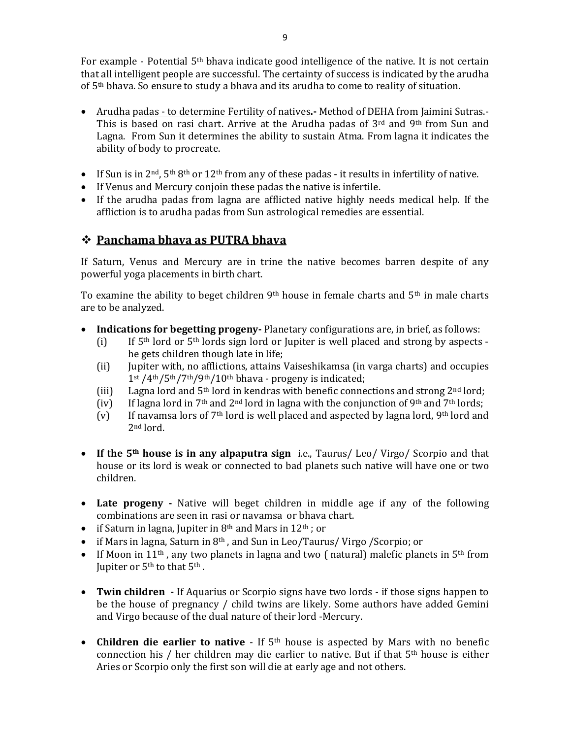For example - Potential 5<sup>th</sup> bhava indicate good intelligence of the native. It is not certain that all intelligent people are successful. The certainty of success is indicated by the arudha of 5th bhava. So ensure to study a bhava and its arudha to come to reality of situation.

- Arudha padas to determine Fertility of natives**.-** Method of DEHA from Jaimini Sutras.- This is based on rasi chart. Arrive at the Arudha padas of 3rd and 9th from Sun and Lagna. From Sun it determines the ability to sustain Atma. From lagna it indicates the ability of body to procreate.
- If Sun is in  $2<sup>nd</sup>$ ,  $5<sup>th</sup> 8<sup>th</sup>$  or  $12<sup>th</sup>$  from any of these padas it results in infertility of native.
- If Venus and Mercury conjoin these padas the native is infertile.
- If the arudha padas from lagna are afflicted native highly needs medical help. If the affliction is to arudha padas from Sun astrological remedies are essential.

# **Panchama bhava as PUTRA bhava**

If Saturn, Venus and Mercury are in trine the native becomes barren despite of any powerful yoga placements in birth chart.

To examine the ability to beget children 9<sup>th</sup> house in female charts and 5<sup>th</sup> in male charts are to be analyzed.

- **Indications for begetting progeny-** Planetary configurations are, in brief, as follows:
	- (i) If  $5<sup>th</sup>$  lord or  $5<sup>th</sup>$  lords sign lord or Jupiter is well placed and strong by aspects he gets children though late in life;
	- (ii) Jupiter with, no afflictions, attains Vaiseshikamsa (in varga charts) and occupies 1st /4th/5th/7th/9th/10th bhava - progeny is indicated;
	- (iii) Lagna lord and  $5<sup>th</sup>$  lord in kendras with benefic connections and strong  $2<sup>nd</sup>$  lord;
	- (iv) If lagna lord in 7<sup>th</sup> and 2<sup>nd</sup> lord in lagna with the conjunction of 9<sup>th</sup> and 7<sup>th</sup> lords;
	- (v) If navamsa lors of  $7<sup>th</sup>$  lord is well placed and aspected by lagna lord, 9<sup>th</sup> lord and 2nd lord.
- **If the 5th house is in any alpaputra sign** i.e., Taurus/ Leo/ Virgo/ Scorpio and that house or its lord is weak or connected to bad planets such native will have one or two children.
- **Late progeny -** Native will beget children in middle age if any of the following combinations are seen in rasi or navamsa or bhava chart.
- if Saturn in lagna, Jupiter in  $8<sup>th</sup>$  and Mars in  $12<sup>th</sup>$ ; or
- $\bullet$  if Mars in lagna, Saturn in 8<sup>th</sup>, and Sun in Leo/Taurus/ Virgo /Scorpio; or
- If Moon in 11<sup>th</sup>, any two planets in lagna and two (natural) malefic planets in  $5<sup>th</sup>$  from Jupiter or 5<sup>th</sup> to that 5<sup>th</sup>.
- **Twin children -** If Aquarius or Scorpio signs have two lords if those signs happen to be the house of pregnancy / child twins are likely. Some authors have added Gemini and Virgo because of the dual nature of their lord -Mercury.
- **Children die earlier to native**  If 5th house is aspected by Mars with no benefic connection his / her children may die earlier to native. But if that  $5<sup>th</sup>$  house is either Aries or Scorpio only the first son will die at early age and not others.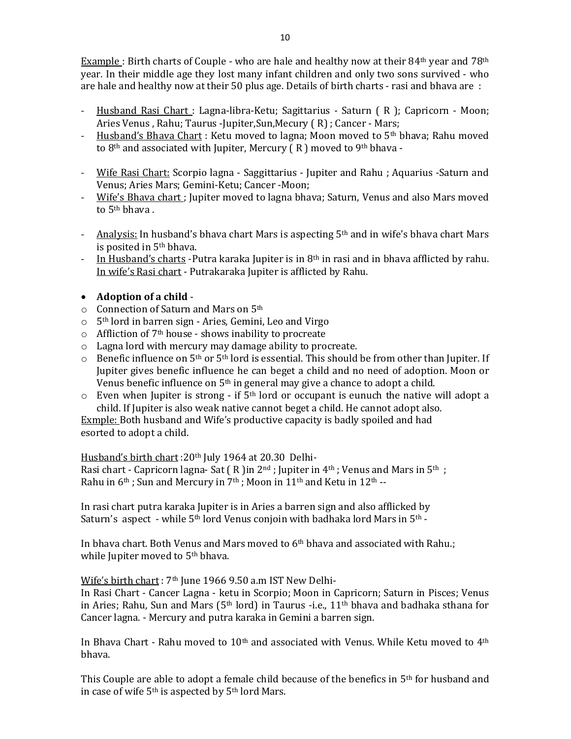Example : Birth charts of Couple - who are hale and healthy now at their  $84<sup>th</sup>$  year and  $78<sup>th</sup>$ year. In their middle age they lost many infant children and only two sons survived - who are hale and healthy now at their 50 plus age. Details of birth charts - rasi and bhava are :

- Husband Rasi Chart : Lagna-libra-Ketu; Sagittarius Saturn ( R ); Capricorn Moon; Aries Venus, Rahu; Taurus -Jupiter, Sun, Mecury (R) ; Cancer - Mars;
- Husband's Bhava Chart : Ketu moved to lagna; Moon moved to  $5<sup>th</sup>$  bhava; Rahu moved to  $8<sup>th</sup>$  and associated with Jupiter, Mercury (R) moved to  $9<sup>th</sup>$  bhava -
- Wife Rasi Chart: Scorpio lagna Saggittarius Jupiter and Rahu ; Aquarius -Saturn and Venus; Aries Mars; Gemini-Ketu; Cancer -Moon;
- Wife's Bhava chart ; Jupiter moved to lagna bhava; Saturn, Venus and also Mars moved to 5th bhava .
- Analysis: In husband's bhava chart Mars is aspecting  $5<sup>th</sup>$  and in wife's bhava chart Mars is posited in  $5<sup>th</sup>$  bhava.
- In Husband's charts -Putra karaka Jupiter is in 8<sup>th</sup> in rasi and in bhava afflicted by rahu. In wife's Rasi chart - Putrakaraka Jupiter is afflicted by Rahu.

#### **Adoption of a child** -

- o Connection of Saturn and Mars on 5th
- o 5th lord in barren sign Aries, Gemini, Leo and Virgo
- $\circ$  Affliction of 7<sup>th</sup> house shows inability to procreate
- o Lagna lord with mercury may damage ability to procreate.
- $\circ$  Benefic influence on 5<sup>th</sup> or 5<sup>th</sup> lord is essential. This should be from other than Jupiter. If Jupiter gives benefic influence he can beget a child and no need of adoption. Moon or Venus benefic influence on  $5<sup>th</sup>$  in general may give a chance to adopt a child.
- $\circ$  Even when Jupiter is strong if 5<sup>th</sup> lord or occupant is eunuch the native will adopt a child. If Jupiter is also weak native cannot beget a child. He cannot adopt also.

Exmple: Both husband and Wife's productive capacity is badly spoiled and had esorted to adopt a child.

Husband's birth chart :20th July 1964 at 20.30 Delhi*-*

Rasi chart - Capricorn lagna- Sat  $(R)$  in  $2<sup>nd</sup>$ ; Jupiter in  $4<sup>th</sup>$ ; Venus and Mars in  $5<sup>th</sup>$ ; Rahu in 6<sup>th</sup>; Sun and Mercury in 7<sup>th</sup>; Moon in 11<sup>th</sup> and Ketu in 12<sup>th</sup> --

In rasi chart putra karaka Jupiter is in Aries a barren sign and also afflicked by Saturn's aspect - while 5<sup>th</sup> lord Venus conjoin with badhaka lord Mars in 5<sup>th</sup> -

In bhava chart. Both Venus and Mars moved to  $6<sup>th</sup>$  bhava and associated with Rahu.; while Jupiter moved to 5<sup>th</sup> bhava.

Wife's birth chart : 7<sup>th</sup> June 1966 9.50 a.m IST New Delhi-

In Rasi Chart - Cancer Lagna - ketu in Scorpio; Moon in Capricorn; Saturn in Pisces; Venus in Aries; Rahu, Sun and Mars ( $5<sup>th</sup>$  lord) in Taurus -i.e., 11<sup>th</sup> bhava and badhaka sthana for Cancer lagna. - Mercury and putra karaka in Gemini a barren sign.

In Bhava Chart - Rahu moved to  $10<sup>th</sup>$  and associated with Venus. While Ketu moved to  $4<sup>th</sup>$ bhava.

This Couple are able to adopt a female child because of the benefics in  $5<sup>th</sup>$  for husband and in case of wife 5th is aspected by 5th lord Mars.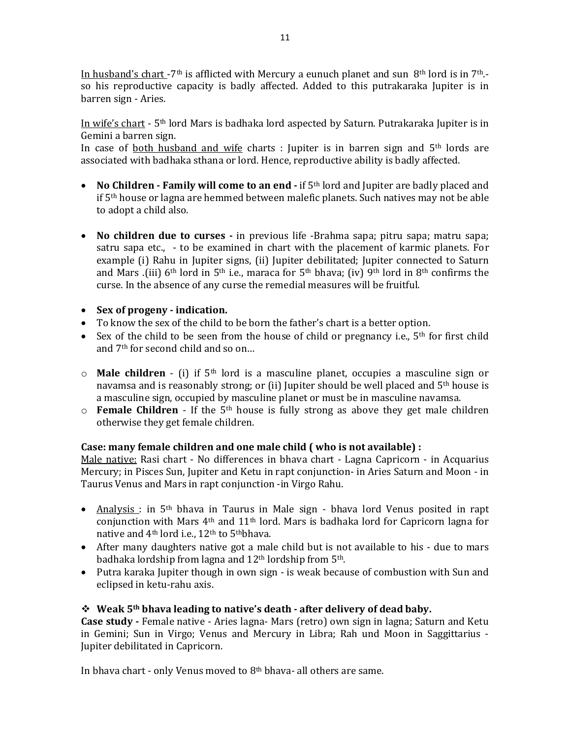In husband's chart -7<sup>th</sup> is afflicted with Mercury a eunuch planet and sun 8<sup>th</sup> lord is in 7<sup>th</sup>. so his reproductive capacity is badly affected. Added to this putrakaraka Jupiter is in barren sign - Aries.

In wife's chart - 5th lord Mars is badhaka lord aspected by Saturn. Putrakaraka Jupiter is in Gemini a barren sign.

In case of both husband and wife charts : Jupiter is in barren sign and 5th lords are associated with badhaka sthana or lord. Hence, reproductive ability is badly affected.

- **No Children - Family will come to an end -** if 5th lord and Jupiter are badly placed and if 5th house or lagna are hemmed between malefic planets. Such natives may not be able to adopt a child also.
- **No children due to curses -** in previous life -Brahma sapa; pitru sapa; matru sapa; satru sapa etc., - to be examined in chart with the placement of karmic planets. For example (i) Rahu in Jupiter signs, (ii) Jupiter debilitated; Jupiter connected to Saturn and Mars .(iii) 6<sup>th</sup> lord in 5<sup>th</sup> i.e., maraca for 5<sup>th</sup> bhava; (iv) 9<sup>th</sup> lord in 8<sup>th</sup> confirms the curse. In the absence of any curse the remedial measures will be fruitful.
- **Sex of progeny - indication.**
- To know the sex of the child to be born the father's chart is a better option.
- Sex of the child to be seen from the house of child or pregnancy i.e.,  $5<sup>th</sup>$  for first child and 7th for second child and so on…
- o **Male children** (i) if 5th lord is a masculine planet, occupies a masculine sign or navamsa and is reasonably strong; or (ii) Jupiter should be well placed and 5th house is a masculine sign, occupied by masculine planet or must be in masculine navamsa.
- o **Female Children**  If the 5th house is fully strong as above they get male children otherwise they get female children.

#### **Case: many female children and one male child ( who is not available) :**

Male native: Rasi chart - No differences in bhava chart - Lagna Capricorn - in Acquarius Mercury; in Pisces Sun, Jupiter and Ketu in rapt conjunction- in Aries Saturn and Moon - in Taurus Venus and Mars in rapt conjunction -in Virgo Rahu.

- Analysis : in 5<sup>th</sup> bhava in Taurus in Male sign bhava lord Venus posited in rapt conjunction with Mars 4th and 11th lord. Mars is badhaka lord for Capricorn lagna for native and 4<sup>th</sup> lord i.e., 12<sup>th</sup> to 5<sup>th</sup>bhava.
- After many daughters native got a male child but is not available to his due to mars badhaka lordship from lagna and 12<sup>th</sup> lordship from 5<sup>th</sup>.
- Putra karaka Jupiter though in own sign is weak because of combustion with Sun and eclipsed in ketu-rahu axis.

#### **Weak 5th bhava leading to native's death - after delivery of dead baby.**

**Case study -** Female native - Aries lagna- Mars (retro) own sign in lagna; Saturn and Ketu in Gemini; Sun in Virgo; Venus and Mercury in Libra; Rah und Moon in Saggittarius - Jupiter debilitated in Capricorn.

In bhava chart - only Venus moved to 8<sup>th</sup> bhava- all others are same.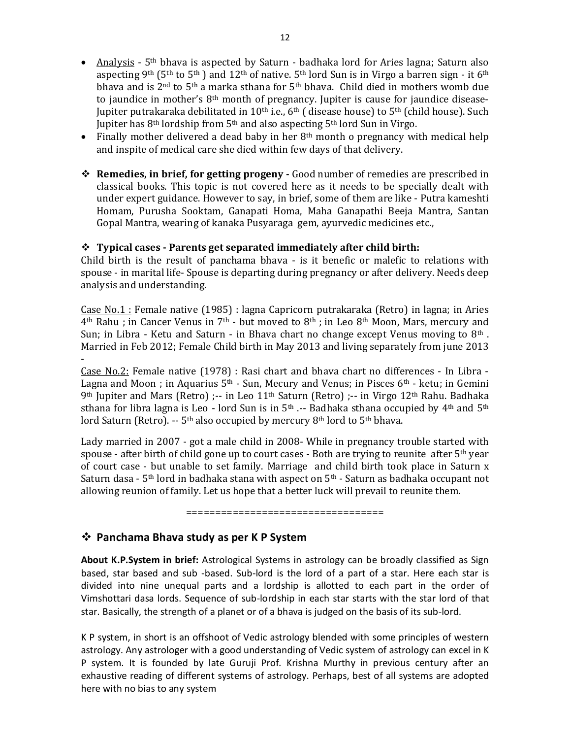- Finally mother delivered a dead baby in her  $8<sup>th</sup>$  month o pregnancy with medical help and inspite of medical care she died within few days of that delivery.
- **Remedies, in brief, for getting progeny -** Good number of remedies are prescribed in classical books. This topic is not covered here as it needs to be specially dealt with under expert guidance. However to say, in brief, some of them are like - Putra kameshti Homam, Purusha Sooktam, Ganapati Homa, Maha Ganapathi Beeja Mantra, Santan Gopal Mantra, wearing of kanaka Pusyaraga gem, ayurvedic medicines etc.,

#### **Typical cases - Parents get separated immediately after child birth:**

Child birth is the result of panchama bhava - is it benefic or malefic to relations with spouse - in marital life- Spouse is departing during pregnancy or after delivery. Needs deep analysis and understanding.

Case No.1 : Female native (1985) : lagna Capricorn putrakaraka (Retro) in lagna; in Aries 4th Rahu ; in Cancer Venus in 7th - but moved to 8th ; in Leo 8th Moon, Mars, mercury and Sun; in Libra - Ketu and Saturn - in Bhava chart no change except Venus moving to  $8<sup>th</sup>$ . Married in Feb 2012; Female Child birth in May 2013 and living separately from june 2013 -

Case No.2: Female native (1978) : Rasi chart and bhava chart no differences - In Libra - Lagna and Moon ; in Aquarius  $5<sup>th</sup>$  - Sun, Mecury and Venus; in Pisces  $6<sup>th</sup>$  - ketu; in Gemini 9th Jupiter and Mars (Retro) ;-- in Leo 11<sup>th</sup> Saturn (Retro) ;-- in Virgo 12<sup>th</sup> Rahu. Badhaka sthana for libra lagna is Leo - lord Sun is in  $5<sup>th</sup>$  .-- Badhaka sthana occupied by  $4<sup>th</sup>$  and  $5<sup>th</sup>$ lord Saturn (Retro). -- 5<sup>th</sup> also occupied by mercury 8<sup>th</sup> lord to 5<sup>th</sup> bhava.

Lady married in 2007 - got a male child in 2008- While in pregnancy trouble started with spouse - after birth of child gone up to court cases - Both are trying to reunite after  $5<sup>th</sup>$  year of court case - but unable to set family. Marriage and child birth took place in Saturn x Saturn dasa - 5<sup>th</sup> lord in badhaka stana with aspect on  $5<sup>th</sup>$  - Saturn as badhaka occupant not allowing reunion of family. Let us hope that a better luck will prevail to reunite them.

==================================

### **Panchama Bhava study as per K P System**

**About K.P.System in brief:** Astrological Systems in astrology can be broadly classified as Sign based, star based and sub -based. Sub-lord is the lord of a part of a star. Here each star is divided into nine unequal parts and a lordship is allotted to each part in the order of Vimshottari dasa lords. Sequence of sub-lordship in each star starts with the star lord of that star. Basically, the strength of a planet or of a bhava is judged on the basis of its sub-lord.

K P system, in short is an offshoot of Vedic astrology blended with some principles of western astrology. Any astrologer with a good understanding of Vedic system of astrology can excel in K P system. It is founded by late Guruji Prof. Krishna Murthy in previous century after an exhaustive reading of different systems of astrology. Perhaps, best of all systems are adopted here with no bias to any system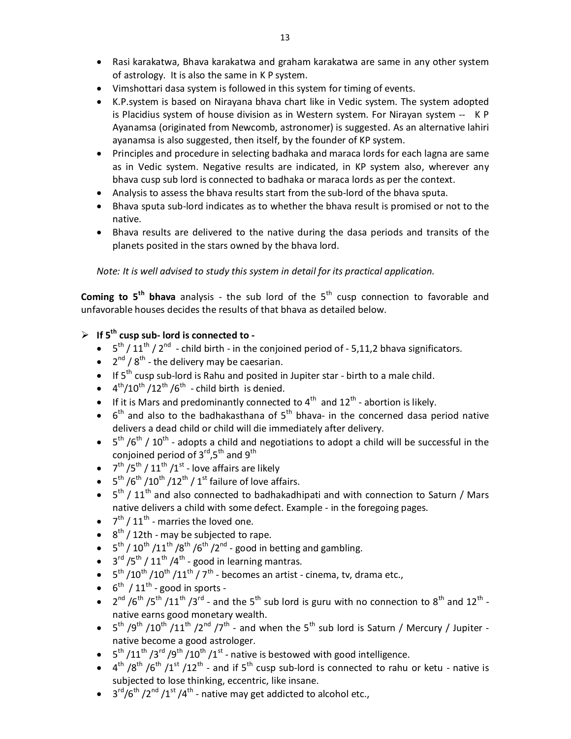- Rasi karakatwa, Bhava karakatwa and graham karakatwa are same in any other system of astrology. It is also the same in K P system.
- Vimshottari dasa system is followed in this system for timing of events.
- K.P.system is based on Nirayana bhava chart like in Vedic system. The system adopted is Placidius system of house division as in Western system. For Nirayan system -- K P Ayanamsa (originated from Newcomb, astronomer) is suggested. As an alternative lahiri ayanamsa is also suggested, then itself, by the founder of KP system.
- Principles and procedure in selecting badhaka and maraca lords for each lagna are same as in Vedic system. Negative results are indicated, in KP system also, wherever any bhava cusp sub lord is connected to badhaka or maraca lords as per the context.
- Analysis to assess the bhava results start from the sub-lord of the bhava sputa.
- Bhava sputa sub-lord indicates as to whether the bhava result is promised or not to the native.
- Bhava results are delivered to the native during the dasa periods and transits of the planets posited in the stars owned by the bhava lord.

*Note: It is well advised to study this system in detail for its practical application.*

**Coming to 5<sup>th</sup> bhava** analysis - the sub lord of the 5<sup>th</sup> cusp connection to favorable and unfavorable houses decides the results of that bhava as detailed below.

### **If 5th cusp sub- lord is connected to -**

- $\bullet$  5<sup>th</sup> / 11<sup>th</sup> / 2<sup>nd</sup> child birth in the conjoined period of 5,11,2 bhava significators.
- $\bullet$  2<sup>nd</sup> / 8<sup>th</sup> the delivery may be caesarian.
- If 5<sup>th</sup> cusp sub-lord is Rahu and posited in Jupiter star birth to a male child.
- $\bullet$  4<sup>th</sup>/10<sup>th</sup>/12<sup>th</sup>/6<sup>th</sup> child birth is denied.
- If it is Mars and predominantly connected to  $4^{\text{th}}$  and  $12^{\text{th}}$  abortion is likely.
- $\bullet$  6<sup>th</sup> and also to the badhakasthana of 5<sup>th</sup> bhava- in the concerned dasa period native delivers a dead child or child will die immediately after delivery.
- $\bullet$  5<sup>th</sup> /6<sup>th</sup> / 10<sup>th</sup> adopts a child and negotiations to adopt a child will be successful in the conjoined period of  $3^{\text{rd}}$ ,  $5^{\text{th}}$  and  $9^{\text{th}}$
- $7^{th}/5^{th}/11^{th}/1^{st}$  love affairs are likely
- $5^{th}/6^{th}/10^{th}/12^{th}/1^{st}$  failure of love affairs.
- $\bullet$  5<sup>th</sup> / 11<sup>th</sup> and also connected to badhakadhipati and with connection to Saturn / Mars native delivers a child with some defect. Example - in the foregoing pages.
- $\bullet$   $7^{th}$  /  $11^{th}$  marries the loved one.
- $\bullet$  8<sup>th</sup> / 12th may be subjected to rape.
- $5^{th}$  /  $10^{th}$  / $11^{th}$  / $8^{th}$  / $6^{th}$  / $2^{nd}$  good in betting and gambling.
- $\bullet$  3<sup>rd</sup> /5<sup>th</sup> / 11<sup>th</sup> /4<sup>th</sup> good in learning mantras.
- $5<sup>th</sup> / 10<sup>th</sup> / 10<sup>th</sup> / 11<sup>th</sup> / 7<sup>th</sup>$  becomes an artist cinema, tv, drama etc.,
- $6^{th}$  / 11<sup>th</sup> good in sports -
- $2^{nd}$  /6<sup>th</sup> /5<sup>th</sup> /11<sup>th</sup> /3<sup>rd</sup> and the 5<sup>th</sup> sub lord is guru with no connection to 8<sup>th</sup> and 12<sup>th</sup> native earns good monetary wealth.
- $5^{th}$  /9<sup>th</sup> /10<sup>th</sup> /11<sup>th</sup> /2<sup>nd</sup> /7<sup>th</sup> and when the 5<sup>th</sup> sub lord is Saturn / Mercury / Jupiter native become a good astrologer.
- $5^{\text{th}}$  /11<sup>th</sup> /3<sup>rd</sup> /9<sup>th</sup> /10<sup>th</sup> /1<sup>st</sup> native is bestowed with good intelligence.
- $\bullet$  4<sup>th</sup> /8<sup>th</sup> /6<sup>th</sup> /1<sup>st</sup> /12<sup>th</sup> and if 5<sup>th</sup> cusp sub-lord is connected to rahu or ketu native is subjected to lose thinking, eccentric, like insane.
- $3<sup>rd</sup>/6<sup>th</sup>/2<sup>nd</sup>/1<sup>st</sup>/4<sup>th</sup>$  native may get addicted to alcohol etc.,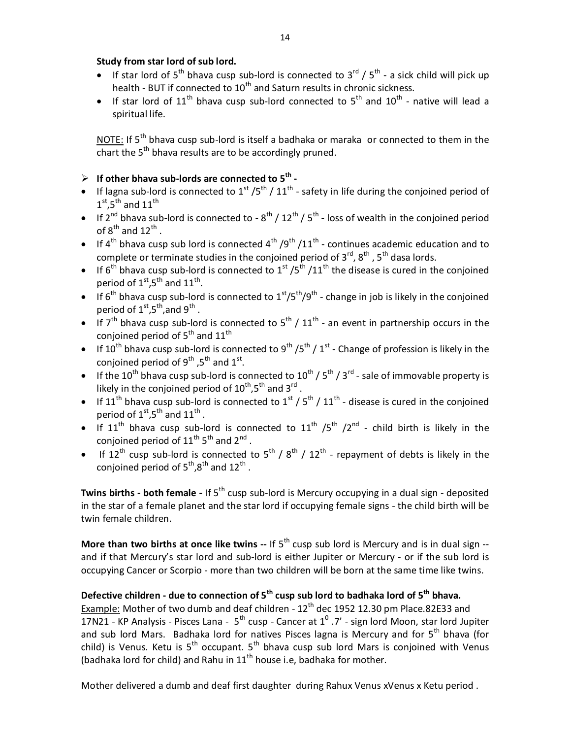#### **Study from star lord of sub lord.**

- If star lord of  $5^{th}$  bhava cusp sub-lord is connected to  $3^{rd}$  /  $5^{th}$  a sick child will pick up health - BUT if connected to  $10<sup>th</sup>$  and Saturn results in chronic sickness.
- If star lord of 11<sup>th</sup> bhava cusp sub-lord connected to  $5<sup>th</sup>$  and  $10<sup>th</sup>$  native will lead a spiritual life.

NOTE: If  $5<sup>th</sup>$  bhava cusp sub-lord is itself a badhaka or maraka or connected to them in the chart the  $5<sup>th</sup>$  bhava results are to be accordingly pruned.

### **If other bhava sub-lords are connected to 5th -**

- If lagna sub-lord is connected to  $1^{st}$  /5<sup>th</sup> /  $11^{th}$  safety in life during the conjoined period of  $1^{\text{st}}$ ,5<sup>th</sup> and  $11^{\text{th}}$
- If 2<sup>nd</sup> bhava sub-lord is connected to 8<sup>th</sup> / 12<sup>th</sup> / 5<sup>th</sup> loss of wealth in the conjoined period of  $8^{\text{th}}$  and  $12^{\text{th}}$  .
- If 4<sup>th</sup> bhava cusp sub lord is connected 4<sup>th</sup> /9<sup>th</sup> /11<sup>th</sup> continues academic education and to complete or terminate studies in the conjoined period of  $3^{rd}$ ,  $8^{th}$ ,  $5^{th}$  dasa lords.
- If 6<sup>th</sup> bhava cusp sub-lord is connected to 1<sup>st</sup> /5<sup>th</sup> /11<sup>th</sup> the disease is cured in the conjoined period of  $1^{\text{st}}$ ,5<sup>th</sup> and  $11^{\text{th}}$ .
- If 6<sup>th</sup> bhava cusp sub-lord is connected to  $1^{st}/5^{th}/9^{th}$  change in job is likely in the conjoined period of  $1^{\text{st}}$ ,5<sup>th</sup>,and 9<sup>th</sup> .
- If 7<sup>th</sup> bhava cusp sub-lord is connected to  $5^{th}$  /  $11^{th}$  an event in partnership occurs in the conjoined period of  $5^{th}$  and  $11^{th}$
- If 10<sup>th</sup> bhava cusp sub-lord is connected to 9<sup>th</sup> /5<sup>th</sup> / 1<sup>st</sup> Change of profession is likely in the conjoined period of 9<sup>th</sup> ,5<sup>th</sup> and 1<sup>st</sup>.
- If the 10<sup>th</sup> bhava cusp sub-lord is connected to  $10^{th}$  / 5<sup>th</sup> / 3<sup>rd</sup> sale of immovable property is likely in the conjoined period of  $10^{\text{th}}$ ,5<sup>th</sup> and 3<sup>rd</sup>.
- If 11<sup>th</sup> bhava cusp sub-lord is connected to  $1^{st}$  /  $5^{th}$  /  $11^{th}$  disease is cured in the conjoined period of  $1^{\text{st}}$ ,5<sup>th</sup> and  $11^{\text{th}}$  .
- If  $11<sup>th</sup>$  bhava cusp sub-lord is connected to  $11<sup>th</sup>$  /5<sup>th</sup> /2<sup>nd</sup> child birth is likely in the conjoined period of  $11^{\text{th}}5^{\text{th}}$  and  $2^{\text{nd}}$  .
- If 12<sup>th</sup> cusp sub-lord is connected to  $5^{th}$  /  $8^{th}$  /  $12^{th}$  repayment of debts is likely in the conjoined period of  $5^{th}$ , $8^{th}$  and  $12^{th}$  .

**Twins births - both female -** If 5<sup>th</sup> cusp sub-lord is Mercury occupying in a dual sign - deposited in the star of a female planet and the star lord if occupying female signs - the child birth will be twin female children.

**More than two births at once like twins --** If 5<sup>th</sup> cusp sub lord is Mercury and is in dual sign -and if that Mercury's star lord and sub-lord is either Jupiter or Mercury - or if the sub lord is occupying Cancer or Scorpio - more than two children will be born at the same time like twins.

# **Defective children - due to connection of 5th cusp sub lord to badhaka lord of 5th bhava.**

Example: Mother of two dumb and deaf children -  $12<sup>th</sup>$  dec 1952 12.30 pm Place.82E33 and 17N21 - KP Analysis - Pisces Lana -  $5^{th}$  cusp - Cancer at  $1^0$  .7' - sign lord Moon, star lord Jupiter and sub lord Mars. Badhaka lord for natives Pisces lagna is Mercury and for 5<sup>th</sup> bhava (for child) is Venus. Ketu is  $5<sup>th</sup>$  occupant.  $5<sup>th</sup>$  bhava cusp sub lord Mars is conjoined with Venus (badhaka lord for child) and Rahu in  $11<sup>th</sup>$  house i.e, badhaka for mother.

Mother delivered a dumb and deaf first daughter during Rahux Venus xVenus x Ketu period .